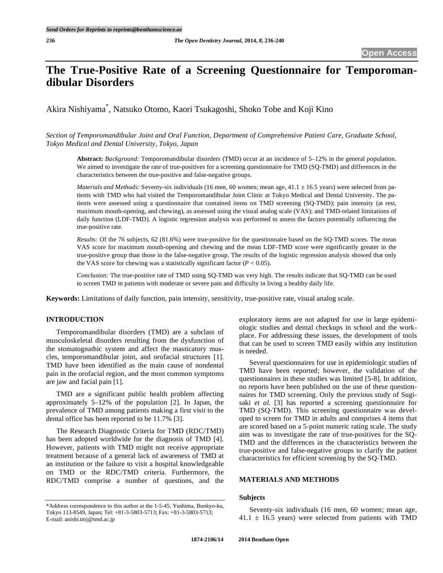# **The True-Positive Rate of a Screening Questionnaire for Temporomandibular Disorders**

Akira Nishiyama\* , Natsuko Otomo, Kaori Tsukagoshi, Shoko Tobe and Koji Kino

*Section of Temporomandibular Joint and Oral Function, Department of Comprehensive Patient Care, Graduate School, Tokyo Medical and Dental University, Tokyo, Japan* 

**Abstract:** *Background:* Temporomandibular disorders (TMD) occur at an incidence of 5–12% in the general population. We aimed to investigate the rate of true-positives for a screening questionnaire for TMD (SQ-TMD) and differences in the characteristics between the true-positive and false-negative groups.

*Materials and Methods:* Seventy-six individuals (16 men, 60 women; mean age,  $41.1 \pm 16.5$  years) were selected from patients with TMD who had visited the Temporomandibular Joint Clinic at Tokyo Medical and Dental University. The patients were assessed using a questionnaire that contained items on TMD screening (SQ-TMD); pain intensity (at rest, maximum mouth-opening, and chewing), as assessed using the visual analog scale (VAS); and TMD-related limitations of daily function (LDF-TMD). A logistic regression analysis was performed to assess the factors potentially influencing the true-positive rate.

*Results:* Of the 76 subjects, 62 (81.6%) were true-positive for the questionnaire based on the SQ-TMD scores. The mean VAS score for maximum mouth-opening and chewing and the mean LDF-TMD score were significantly greater in the true-positive group than those in the false-negative group. The results of the logistic regression analysis showed that only the VAS score for chewing was a statistically significant factor  $(P < 0.05)$ .

*Conclusion:* The true-positive rate of TMD using SQ-TMD was very high. The results indicate that SQ-TMD can be used to screen TMD in patients with moderate or severe pain and difficulty in living a healthy daily life.

**Keywords:** Limitations of daily function, pain intensity, sensitivity, true-positive rate, visual analog scale.

# **INTRODUCTION**

Temporomandibular disorders (TMD) are a subclass of musculoskeletal disorders resulting from the dysfunction of the stomatognathic system and affect the masticatory muscles, temporomandibular joint, and orofacial structures [1]. TMD have been identified as the main cause of nondental pain in the orofacial region, and the most common symptoms are jaw and facial pain [1].

TMD are a significant public health problem affecting approximately 5–12% of the population [2]. In Japan, the prevalence of TMD among patients making a first visit to the dental office has been reported to be 11.7% [3].

The Research Diagnostic Criteria for TMD (RDC/TMD) has been adopted worldwide for the diagnosis of TMD [4]. However, patients with TMD might not receive appropriate treatment because of a general lack of awareness of TMD at an institution or the failure to visit a hospital knowledgeable on TMD or the RDC/TMD criteria. Furthermore, the RDC/TMD comprise a number of questions, and the exploratory items are not adapted for use in large epidemiologic studies and dental checkups in school and the workplace. For addressing these issues, the development of tools that can be used to screen TMD easily within any institution is needed.

Several questionnaires for use in epidemiologic studies of TMD have been reported; however, the validation of the questionnaires in these studies was limited [5-8]. In addition, no reports have been published on the use of these questionnaires for TMD screening. Only the previous study of Sugisaki *et al.* [3] has reported a screening questionnaire for TMD (SQ-TMD). This screening questionnaire was developed to screen for TMD in adults and comprises 4 items that are scored based on a 5-point numeric rating scale. The study aim was to investigate the rate of true-positives for the SQ-TMD and the differences in the characteristics between the true-positive and false-negative groups to clarify the patient characteristics for efficient screening by the SQ-TMD.

### **MATERIALS AND METHODS**

### **Subjects**

Seventy-six individuals (16 men, 60 women; mean age,  $41.1 \pm 16.5$  years) were selected from patients with TMD

<sup>\*</sup>Address correspondence to this author at the 1-5-45, Yushima, Bunkyo-ku, Tokyo 113-8549, Japan; Tel: +81-3-5803-5713; Fax: +81-3-5803-5713; E-mail: anishi.tmj@tmd.ac.jp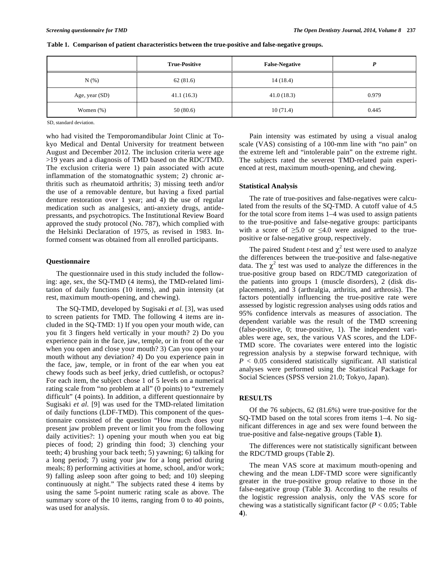|                | <b>True-Positive</b> | <b>False-Negative</b> | D     |
|----------------|----------------------|-----------------------|-------|
| N(% )          | 62(81.6)             | 14(18.4)              |       |
| Age, year (SD) | 41.1(16.3)           | 41.0(18.3)            | 0.979 |
| Women $(\%)$   | 50(80.6)             | 10(71.4)              | 0.445 |

**Table 1. Comparison of patient characteristics between the true-positive and false-negative groups.** 

SD, standard deviation.

who had visited the Temporomandibular Joint Clinic at Tokyo Medical and Dental University for treatment between August and December 2012. The inclusion criteria were age >19 years and a diagnosis of TMD based on the RDC/TMD. The exclusion criteria were 1) pain associated with acute inflammation of the stomatognathic system; 2) chronic arthritis such as rheumatoid arthritis; 3) missing teeth and/or the use of a removable denture, but having a fixed partial denture restoration over 1 year; and 4) the use of regular medication such as analgesics, anti-anxiety drugs, antidepressants, and psychotropics. The Institutional Review Board approved the study protocol (No. 787), which complied with the Helsinki Declaration of 1975, as revised in 1983. Informed consent was obtained from all enrolled participants.

#### **Questionnaire**

The questionnaire used in this study included the following: age, sex, the SQ-TMD (4 items), the TMD-related limitation of daily functions (10 items), and pain intensity (at rest, maximum mouth-opening, and chewing).

The SQ-TMD, developed by Sugisaki *et al.* [3], was used to screen patients for TMD. The following 4 items are included in the SQ-TMD: 1) If you open your mouth wide, can you fit 3 fingers held vertically in your mouth? 2) Do you experience pain in the face, jaw, temple, or in front of the ear when you open and close your mouth? 3) Can you open your mouth without any deviation? 4) Do you experience pain in the face, jaw, temple, or in front of the ear when you eat chewy foods such as beef jerky, dried cuttlefish, or octopus? For each item, the subject chose 1 of 5 levels on a numerical rating scale from "no problem at all" (0 points) to "extremely difficult" (4 points). In addition, a different questionnaire by Sugisaki *et al.* [9] was used for the TMD-related limitation of daily functions (LDF-TMD). This component of the questionnaire consisted of the question "How much does your present jaw problem prevent or limit you from the following daily activities?: 1) opening your mouth when you eat big pieces of food; 2) grinding thin food; 3) clenching your teeth; 4) brushing your back teeth; 5) yawning; 6) talking for a long period; 7) using your jaw for a long period during meals; 8) performing activities at home, school, and/or work; 9) falling asleep soon after going to bed; and 10) sleeping continuously at night." The subjects rated these 4 items by using the same 5-point numeric rating scale as above. The summary score of the 10 items, ranging from 0 to 40 points, was used for analysis.

Pain intensity was estimated by using a visual analog scale (VAS) consisting of a 100-mm line with "no pain" on the extreme left and "intolerable pain" on the extreme right. The subjects rated the severest TMD-related pain experienced at rest, maximum mouth-opening, and chewing.

## **Statistical Analysis**

The rate of true-positives and false-negatives were calculated from the results of the SQ-TMD. A cutoff value of 4.5 for the total score from items 1–4 was used to assign patients to the true-positive and false-negative groups: participants with a score of  $\geq 5.0$  or  $\leq 4.0$  were assigned to the truepositive or false-negative group, respectively.

The paired Student *t*-test and  $\chi^2$  test were used to analyze the differences between the true-positive and false-negative data. The  $\chi^2$  test was used to analyze the differences in the true-positive group based on RDC/TMD categorization of the patients into groups 1 (muscle disorders), 2 (disk displacements), and 3 (arthralgia, arthritis, and arthrosis). The factors potentially influencing the true-positive rate were assessed by logistic regression analyses using odds ratios and 95% confidence intervals as measures of association. The dependent variable was the result of the TMD screening (false-positive, 0; true-positive, 1). The independent variables were age, sex, the various VAS scores, and the LDF-TMD score. The covariates were entered into the logistic regression analysis by a stepwise forward technique, with  $P < 0.05$  considered statistically significant. All statistical analyses were performed using the Statistical Package for Social Sciences (SPSS version 21.0; Tokyo, Japan).

## **RESULTS**

Of the 76 subjects, 62 (81.6%) were true-positive for the SQ-TMD based on the total scores from items 1–4. No significant differences in age and sex were found between the true-positive and false-negative groups (Table **1**).

The differences were not statistically significant between the RDC/TMD groups (Table **2**).

The mean VAS score at maximum mouth-opening and chewing and the mean LDF-TMD score were significantly greater in the true-positive group relative to those in the false-negative group (Table **3**). According to the results of the logistic regression analysis, only the VAS score for chewing was a statistically significant factor (*P* < 0.05; Table **4**).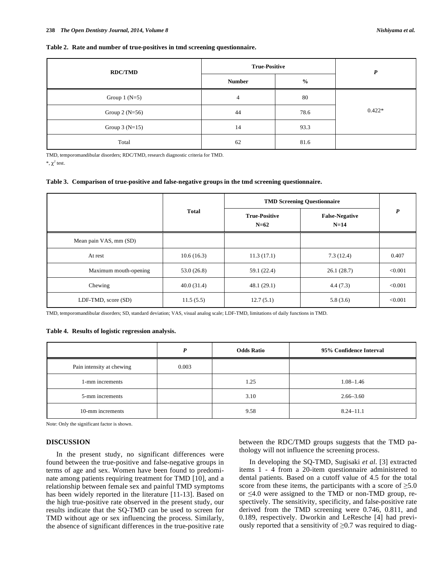#### **Table 2. Rate and number of true-positives in tmd screening questionnaire.**

| <b>RDC/TMD</b>  | <b>True-Positive</b> |               | P        |  |
|-----------------|----------------------|---------------|----------|--|
|                 | <b>Number</b>        | $\frac{0}{0}$ |          |  |
| Group $1(N=5)$  | $\overline{4}$       | 80            |          |  |
| Group $2(N=56)$ | 44                   | 78.6          | $0.422*$ |  |
| Group $3(N=15)$ | 14                   | 93.3          |          |  |
| Total           | 62                   | 81.6          |          |  |

TMD, temporomandibular disorders; RDC/TMD, research diagnostic criteria for TMD.

 $*, \chi^2$  test.

### **Table 3. Comparison of true-positive and false-negative groups in the tmd screening questionnaire.**

|                        |              | <b>TMD Screening Questionnaire</b> |                                 |         |
|------------------------|--------------|------------------------------------|---------------------------------|---------|
|                        | <b>Total</b> | <b>True-Positive</b><br>$N=62$     | <b>False-Negative</b><br>$N=14$ | P       |
| Mean pain VAS, mm (SD) |              |                                    |                                 |         |
| At rest                | 10.6(16.3)   | 11.3(17.1)                         | 7.3(12.4)                       | 0.407   |
| Maximum mouth-opening  | 53.0(26.8)   | 59.1 (22.4)                        | 26.1(28.7)                      | < 0.001 |
| Chewing                | 40.0(31.4)   | 48.1(29.1)                         | 4.4(7.3)                        | < 0.001 |
| LDF-TMD, score (SD)    | 11.5(5.5)    | 12.7(5.1)                          | 5.8(3.6)                        | < 0.001 |

TMD, temporomandibular disorders; SD, standard deviation; VAS, visual analog scale; LDF-TMD, limitations of daily functions in TMD.

#### **Table 4. Results of logistic regression analysis.**

|                           | P     | <b>Odds Ratio</b> | 95% Confidence Interval |
|---------------------------|-------|-------------------|-------------------------|
| Pain intensity at chewing | 0.003 |                   |                         |
| 1-mm increments           |       | 1.25              | $1.08 - 1.46$           |
| 5-mm increments           |       | 3.10              | $2.66 - 3.60$           |
| 10-mm increments          |       | 9.58              | $8.24 - 11.1$           |

Note: Only the significant factor is shown.

# **DISCUSSION**

In the present study, no significant differences were found between the true-positive and false-negative groups in terms of age and sex. Women have been found to predominate among patients requiring treatment for TMD [10], and a relationship between female sex and painful TMD symptoms has been widely reported in the literature [11-13]. Based on the high true-positive rate observed in the present study, our results indicate that the SQ-TMD can be used to screen for TMD without age or sex influencing the process. Similarly, the absence of significant differences in the true-positive rate between the RDC/TMD groups suggests that the TMD pathology will not influence the screening process.

In developing the SQ-TMD, Sugisaki *et al.* [3] extracted items 1 - 4 from a 20-item questionnaire administered to dental patients. Based on a cutoff value of 4.5 for the total score from these items, the participants with a score of  $\geq 5.0$ or  $\leq 4.0$  were assigned to the TMD or non-TMD group, respectively. The sensitivity, specificity, and false-positive rate derived from the TMD screening were 0.746, 0.811, and 0.189, respectively. Dworkin and LeResche [4] had previously reported that a sensitivity of  $\geq 0.7$  was required to diag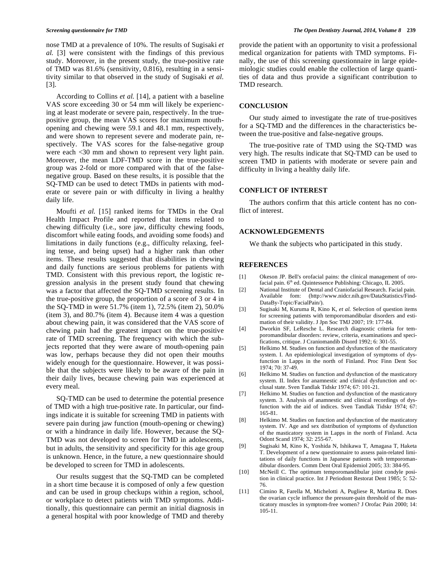nose TMD at a prevalence of 10%. The results of Sugisaki *et al.* [3] were consistent with the findings of this previous study. Moreover, in the present study, the true-positive rate of TMD was 81.6% (sensitivity, 0.816), resulting in a sensitivity similar to that observed in the study of Sugisaki *et al.* [3].

According to Collins *et al.* [14], a patient with a baseline VAS score exceeding 30 or 54 mm will likely be experiencing at least moderate or severe pain, respectively. In the truepositive group, the mean VAS scores for maximum mouthopening and chewing were 59.1 and 48.1 mm, respectively, and were shown to represent severe and moderate pain, respectively. The VAS scores for the false-negative group were each <30 mm and shown to represent very light pain. Moreover, the mean LDF-TMD score in the true-positive group was 2-fold or more compared with that of the falsenegative group. Based on these results, it is possible that the SQ-TMD can be used to detect TMDs in patients with moderate or severe pain or with difficulty in living a healthy daily life.

Moufti *et al.* [15] ranked items for TMDs in the Oral Health Impact Profile and reported that items related to chewing difficulty (i.e., sore jaw, difficulty chewing foods, discomfort while eating foods, and avoiding some foods) and limitations in daily functions (e.g., difficulty relaxing, feeling tense, and being upset) had a higher rank than other items. These results suggested that disabilities in chewing and daily functions are serious problems for patients with TMD. Consistent with this previous report, the logistic regression analysis in the present study found that chewing was a factor that affected the SQ-TMD screening results. In the true-positive group, the proportion of a score of 3 or 4 in the SQ-TMD in were 51.7% (item 1), 72.5% (item 2), 50.0% (item 3), and 80.7% (item 4). Because item 4 was a question about chewing pain, it was considered that the VAS score of chewing pain had the greatest impact on the true-positive rate of TMD screening. The frequency with which the subjects reported that they were aware of mouth-opening pain was low, perhaps because they did not open their mouths widely enough for the questionnaire. However, it was possible that the subjects were likely to be aware of the pain in their daily lives, because chewing pain was experienced at every meal.

SQ-TMD can be used to determine the potential presence of TMD with a high true-positive rate. In particular, our findings indicate it is suitable for screening TMD in patients with severe pain during jaw function (mouth-opening or chewing) or with a hindrance in daily life. However, because the SQ-TMD was not developed to screen for TMD in adolescents, but in adults, the sensitivity and specificity for this age group is unknown. Hence, in the future, a new questionnaire should be developed to screen for TMD in adolescents.

Our results suggest that the SQ-TMD can be completed in a short time because it is composed of only a few question and can be used in group checkups within a region, school, or workplace to detect patients with TMD symptoms. Additionally, this questionnaire can permit an initial diagnosis in a general hospital with poor knowledge of TMD and thereby provide the patient with an opportunity to visit a professional medical organization for patients with TMD symptoms. Finally, the use of this screening questionnaire in large epidemiologic studies could enable the collection of large quantities of data and thus provide a significant contribution to TMD research.

#### **CONCLUSION**

Our study aimed to investigate the rate of true-positives for a SQ-TMD and the differences in the characteristics between the true-positive and false-negative groups.

The true-positive rate of TMD using the SQ-TMD was very high. The results indicate that SQ-TMD can be used to screen TMD in patients with moderate or severe pain and difficulty in living a healthy daily life.

#### **CONFLICT OF INTEREST**

The authors confirm that this article content has no conflict of interest.

# **ACKNOWLEDGEMENTS**

We thank the subjects who participated in this study.

### **REFERENCES**

- [1] Okeson JP. Bell's orofacial pains: the clinical management of orofacial pain. 6<sup>th</sup> ed. Quintessence Publishing: Chicago, IL 2005.
- [2] National Institute of Dental and Craniofacial Research. Facial pain. Available fom: (http://www.nidcr.nih.gov/DataStatistics/Find-DataBy-Topic/FacialPain/).
- [3] Sugisaki M, Kuruma R, Kino K, *et al.* Selection of question items for screening patients with temporomandibular disorders and estimation of their validity. J Jpn Soc TMJ 2007; 19: 177-84.
- [4] Dworkin SF, LeResche L. Research diagnostic criteria for temporomandibular disorders: review, criteria, examinations and specifications, critique. J Craniomandib Disord 1992; 6: 301-55.
- [5] Helkimo M. Studies on function and dysfunction of the masticatory system. I. An epidemiological investigation of symptoms of dysfunction in Lapps in the north of Finland. Proc Finn Dent Soc 1974; 70: 37-49.
- [6] Helkimo M. Studies on function and dysfunction of the masticatory system. II. Index for anamnestic and clinical dysfunction and occlusal state. Sven Tandlak Tidskr 1974; 67: 101-21.
- [7] Helkimo M. Studies on function and dysfunction of the masticatory system. 3. Analysis of anamnestic and clinical recordings of dysfunction with the aid of indices. Sven Tandlak Tidskr 1974; 67: 165-81.
- [8] Helkimo M. Studies on function and dysfunction of the masticatory system. IV. Age and sex distribution of symptoms of dysfunction of the masticatory system in Lapps in the north of Finland. Acta Odont Scand 1974; 32: 255-67.
- [9] Sugisaki M, Kino K, Yoshida N, Ishikawa T, Amagasa T, Haketa T. Development of a new questionnaire to assess pain-related limitations of daily functions in Japanese patients with temporomandibular disorders. Comm Dent Oral Epidemiol 2005; 33: 384-95.
- [10] McNeill C. The optimum temporomandibular joint condyle position in clinical practice. Int J Periodont Restorat Dent 1985; 5: 52- 76.
- [11] Cimino R, Farella M, Michelotti A, Pugliese R, Martina R. Does the ovarian cycle influence the pressure-pain threshold of the masticatory muscles in symptom-free women? J Orofac Pain 2000; 14: 105-11.